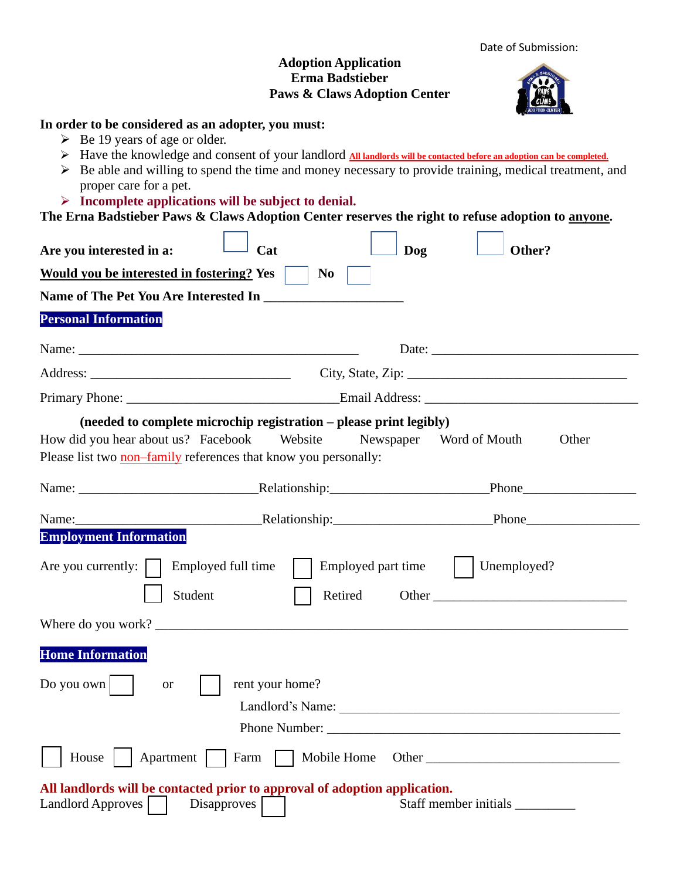| Date of Submission: |
|---------------------|
|---------------------|

## **Adoption Application Erma Badstieber Paws & Claws Adoption Center**

## **In order to be considered as an adopter, you must:**

- $\triangleright$  Be 19 years of age or older.
- ➢ Have the knowledge and consent of your landlord **All landlords will be contacted before an adoption can be completed.**
- $\triangleright$  Be able and willing to spend the time and money necessary to provide training, medical treatment, and proper care for a pet.

## ➢ **Incomplete applications will be subject to denial.**

**The Erna Badstieber Paws & Claws Adoption Center reserves the right to refuse adoption to anyone.**

| егна ваазисяст таму се сламутиориян сентег тем осу иге нднг ю тепяе ааэриян ю ануунс.                  |                                                                               |                    |                                                                                                                                                                                                                                                    |       |
|--------------------------------------------------------------------------------------------------------|-------------------------------------------------------------------------------|--------------------|----------------------------------------------------------------------------------------------------------------------------------------------------------------------------------------------------------------------------------------------------|-------|
| Are you interested in a:                                                                               | Cat                                                                           | Dog                | Other?                                                                                                                                                                                                                                             |       |
| <b>Would you be interested in fostering? Yes</b>                                                       | N <sub>0</sub>                                                                |                    |                                                                                                                                                                                                                                                    |       |
| Name of The Pet You Are Interested In                                                                  |                                                                               |                    |                                                                                                                                                                                                                                                    |       |
| <b>Personal Information</b>                                                                            |                                                                               |                    |                                                                                                                                                                                                                                                    |       |
|                                                                                                        |                                                                               |                    |                                                                                                                                                                                                                                                    |       |
|                                                                                                        |                                                                               |                    | $City, State, Zip: __________$                                                                                                                                                                                                                     |       |
|                                                                                                        |                                                                               |                    |                                                                                                                                                                                                                                                    |       |
| How did you hear about us? Facebook<br>Please list two non-family references that know you personally: | (needed to complete microchip registration - please print legibly)<br>Website |                    | Newspaper Word of Mouth                                                                                                                                                                                                                            | Other |
|                                                                                                        |                                                                               |                    |                                                                                                                                                                                                                                                    |       |
| Name:                                                                                                  | Relationship: Phone Phone                                                     |                    |                                                                                                                                                                                                                                                    |       |
| <b>Employment Information</b><br>Are you currently: $  \cdot  $<br>Student                             | Employed full time<br>Retired                                                 | Employed part time | Unemployed?<br>Other <u>the contract of the contract of</u> the contract of the contract of the contract of the contract of the contract of the contract of the contract of the contract of the contract of the contract of the contract of the co |       |
|                                                                                                        |                                                                               |                    |                                                                                                                                                                                                                                                    |       |
| <b>Home Information</b>                                                                                |                                                                               |                    |                                                                                                                                                                                                                                                    |       |
| Do you own<br><b>or</b>                                                                                | rent your home?<br>Landlord's Name:                                           |                    |                                                                                                                                                                                                                                                    |       |
| House                                                                                                  | Apartment   Farm<br>Mobile Home                                               |                    |                                                                                                                                                                                                                                                    |       |
| All landlords will be contacted prior to approval of adoption application.<br>Landlord Approves        | <b>Disapproves</b>                                                            |                    | Staff member initials                                                                                                                                                                                                                              |       |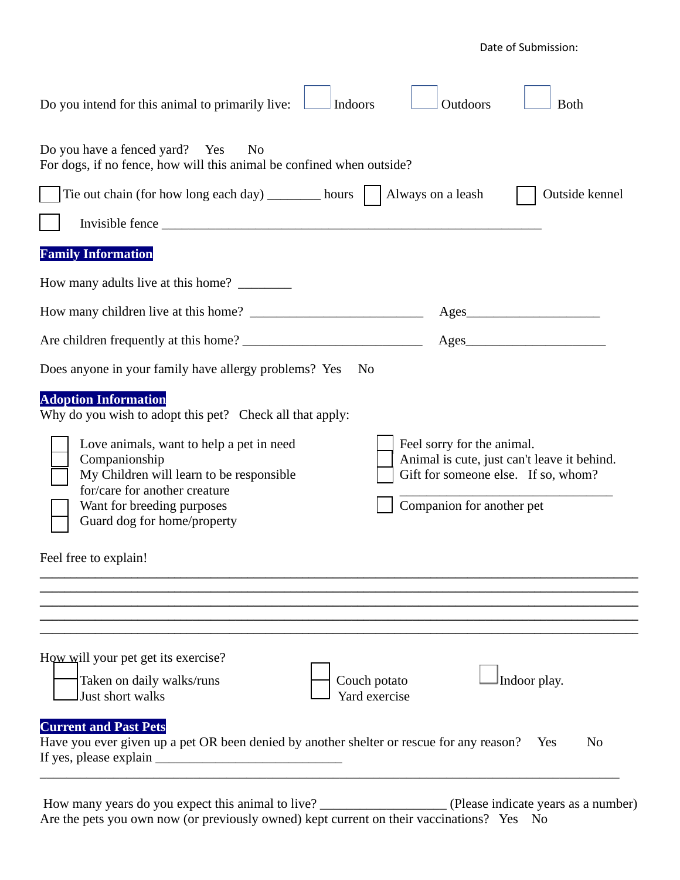Date of Submission:

| Do you intend for this animal to primarily live:<br>Indoors                                                                                                                                         | Outdoors<br><b>B</b> oth                                                                                                                      |
|-----------------------------------------------------------------------------------------------------------------------------------------------------------------------------------------------------|-----------------------------------------------------------------------------------------------------------------------------------------------|
| Do you have a fenced yard? Yes<br>N <sub>0</sub><br>For dogs, if no fence, how will this animal be confined when outside?                                                                           |                                                                                                                                               |
| Tie out chain (for how long each day) $\frac{1}{\sqrt{2}}$ hours $\int$ Always on a leash                                                                                                           | Outside kennel                                                                                                                                |
| Invisible fence                                                                                                                                                                                     |                                                                                                                                               |
| <b>Family Information</b>                                                                                                                                                                           |                                                                                                                                               |
| How many adults live at this home?                                                                                                                                                                  |                                                                                                                                               |
|                                                                                                                                                                                                     | $\text{Ages}$                                                                                                                                 |
|                                                                                                                                                                                                     | $\text{Ages}\_$                                                                                                                               |
| Does anyone in your family have allergy problems? Yes<br>N <sub>0</sub>                                                                                                                             |                                                                                                                                               |
| <b>Adoption Information</b><br>Why do you wish to adopt this pet? Check all that apply:                                                                                                             |                                                                                                                                               |
| Love animals, want to help a pet in need<br>Companionship<br>My Children will learn to be responsible<br>for/care for another creature<br>Want for breeding purposes<br>Guard dog for home/property | Feel sorry for the animal.<br>Animal is cute, just can't leave it behind.<br>Gift for someone else. If so, whom?<br>Companion for another pet |
| Feel free to explain!                                                                                                                                                                               |                                                                                                                                               |
|                                                                                                                                                                                                     |                                                                                                                                               |
| How will your pet get its exercise?<br>Taken on daily walks/runs<br>Couch potato<br>Yard exercise<br>Just short walks                                                                               | Indoor play.                                                                                                                                  |
| <b>Current and Past Pets</b><br>Have you ever given up a pet OR been denied by another shelter or rescue for any reason?                                                                            | N <sub>0</sub><br><b>Yes</b>                                                                                                                  |

How many years do you expect this animal to live? \_\_\_\_\_\_\_\_\_\_\_\_\_\_\_\_\_\_\_ (Please indicate years as a number) Are the pets you own now (or previously owned) kept current on their vaccinations? Yes No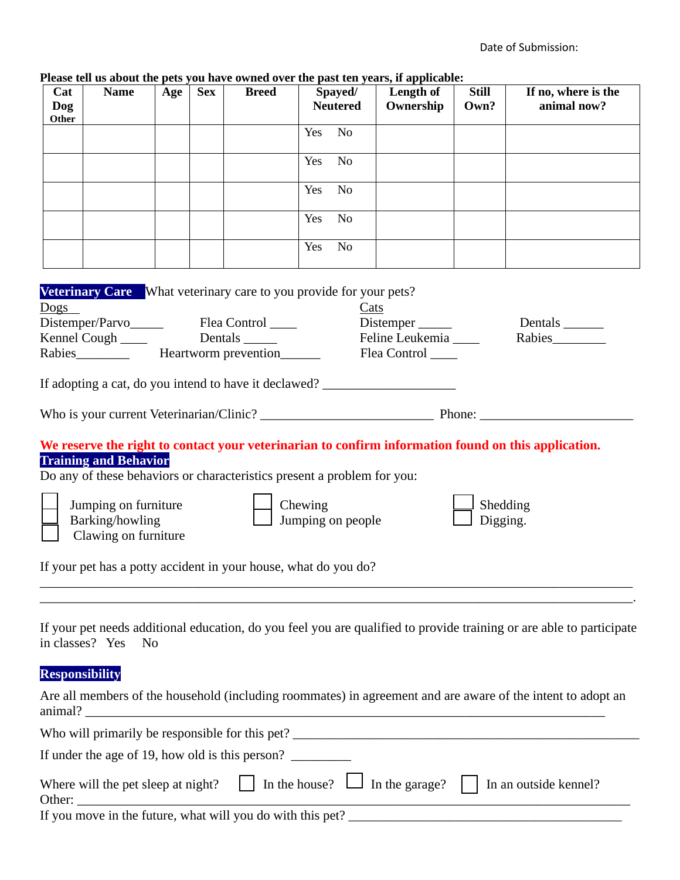| Cat<br>Dog<br>Other | <b>Name</b>                                                                                     | Age | <b>Sex</b> | <b>Breed</b>                                    | Spayed/<br><b>Neutered</b>                                                                              | Please tell us about the pets you have owned over the past ten years, if applicable:<br>Length of<br>Ownership                         | <b>Still</b><br>Own? | If no, where is the<br>animal now?                                                                                                                                                                                                  |
|---------------------|-------------------------------------------------------------------------------------------------|-----|------------|-------------------------------------------------|---------------------------------------------------------------------------------------------------------|----------------------------------------------------------------------------------------------------------------------------------------|----------------------|-------------------------------------------------------------------------------------------------------------------------------------------------------------------------------------------------------------------------------------|
|                     |                                                                                                 |     |            |                                                 | Yes<br>N <sub>o</sub>                                                                                   |                                                                                                                                        |                      |                                                                                                                                                                                                                                     |
|                     |                                                                                                 |     |            |                                                 | N <sub>o</sub><br>Yes                                                                                   |                                                                                                                                        |                      |                                                                                                                                                                                                                                     |
|                     |                                                                                                 |     |            |                                                 | N <sub>o</sub><br>Yes                                                                                   |                                                                                                                                        |                      |                                                                                                                                                                                                                                     |
|                     |                                                                                                 |     |            |                                                 | Yes<br>N <sub>o</sub>                                                                                   |                                                                                                                                        |                      |                                                                                                                                                                                                                                     |
|                     |                                                                                                 |     |            |                                                 | N <sub>o</sub><br>Yes                                                                                   |                                                                                                                                        |                      |                                                                                                                                                                                                                                     |
| Dogs                | Distemper/Parvo<br>Kennel Cough _____                                                           |     |            | Flea Control _____<br>Dentals ________          | <b>Veterinary Care</b> What veterinary care to you provide for your pets?<br>Cats                       | Distemper<br>Feline Leukemia<br>Flea Control ____<br>If adopting a cat, do you intend to have it declawed? ___________________________ |                      | Dentals $\_\_\_\_\_\_\_\_\_\_\_\_\_\$                                                                                                                                                                                               |
|                     |                                                                                                 |     |            |                                                 |                                                                                                         |                                                                                                                                        |                      |                                                                                                                                                                                                                                     |
|                     | <b>Training and Behavior</b><br>Jumping on furniture<br>Barking/howling<br>Clawing on furniture |     |            |                                                 | Do any of these behaviors or characteristics present a problem for you:<br>Chewing<br>Jumping on people |                                                                                                                                        | Shedding<br>Digging. | We reserve the right to contact your veterinarian to confirm information found on this application.                                                                                                                                 |
|                     |                                                                                                 |     |            |                                                 | If your pet has a potty accident in your house, what do you do?                                         |                                                                                                                                        |                      |                                                                                                                                                                                                                                     |
|                     | in classes? Yes<br>N <sub>0</sub><br><b>Responsibility</b>                                      |     |            |                                                 |                                                                                                         |                                                                                                                                        |                      | If your pet needs additional education, do you feel you are qualified to provide training or are able to participate<br>Are all members of the household (including roommates) in agreement and are aware of the intent to adopt an |
|                     |                                                                                                 |     |            |                                                 |                                                                                                         |                                                                                                                                        |                      |                                                                                                                                                                                                                                     |
|                     |                                                                                                 |     |            | If under the age of 19, how old is this person? |                                                                                                         |                                                                                                                                        |                      |                                                                                                                                                                                                                                     |

## **Please tell us about the pets you have owned over the past ten years, if applicable:**

| Where will the pet sleep at night? $\Box$ In the house? $\Box$ In the garage? $\Box$ In an outside kennel?<br>Other: |  |  |
|----------------------------------------------------------------------------------------------------------------------|--|--|
| If you move in the future, what will you do with this pet?                                                           |  |  |